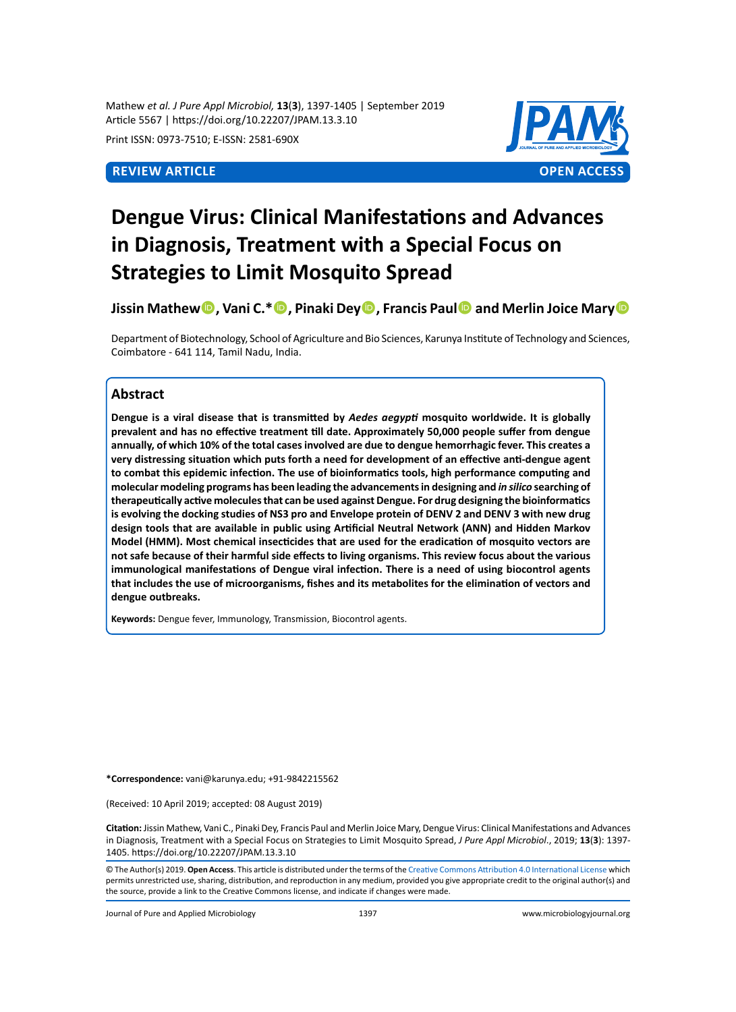Mathew *et al. J Pure Appl Microbiol,* **13**(**3**), 1397-1405 | September 2019 Article 5567 | https://doi.org/10.22207/JPAM.13.3.10

Print ISSN: 0973-7510; E-ISSN: 2581-690X



# **Dengue Virus: Clinical Manifestations and Advances in Diagnosis, Treatment with a Special Focus on Strategies to Limit Mosquito Spread**

**Jissin Mathew, Vani C.\*, Pinaki Dey, Francis Paul and Merlin Joice Mary**

Department of Biotechnology, School of Agriculture and Bio Sciences, Karunya Institute of Technology and Sciences, Coimbatore - 641 114, Tamil Nadu, India.

## **Abstract**

**Dengue is a viral disease that is transmitted by** *Aedes aegypti* **mosquito worldwide. It is globally prevalent and has no effective treatment till date. Approximately 50,000 people suffer from dengue annually, of which 10% of the total cases involved are due to dengue hemorrhagic fever. This creates a very distressing situation which puts forth a need for development of an effective anti-dengue agent to combat this epidemic infection. The use of bioinformatics tools, high performance computing and molecular modeling programs has been leading the advancements in designing and** *in silico* **searching of therapeutically active molecules that can be used against Dengue. For drug designing the bioinformatics is evolving the docking studies of NS3 pro and Envelope protein of DENV 2 and DENV 3 with new drug design tools that are available in public using Artificial Neutral Network (ANN) and Hidden Markov Model (HMM). Most chemical insecticides that are used for the eradication of mosquito vectors are not safe because of their harmful side effects to living organisms. This review focus about the various immunological manifestations of Dengue viral infection. There is a need of using biocontrol agents that includes the use of microorganisms, fishes and its metabolites for the elimination of vectors and dengue outbreaks.**

**Keywords:** Dengue fever, Immunology, Transmission, Biocontrol agents.

**\*Correspondence:** vani@karunya.edu; +91-9842215562

(Received: 10 April 2019; accepted: 08 August 2019)

**Citation:** Jissin Mathew, Vani C., Pinaki Dey, Francis Paul and Merlin Joice Mary, Dengue Virus: Clinical Manifestations and Advances in Diagnosis, Treatment with a Special Focus on Strategies to Limit Mosquito Spread, *J Pure Appl Microbiol*., 2019; **13**(**3**): 1397- 1405. https://doi.org/10.22207/JPAM.13.3.10

© The Author(s) 2019. **Open Access**. This article is distributed under the terms of the [Creative Commons Attribution 4.0 International License](https://creativecommons.org/licenses/by/4.0/) which permits unrestricted use, sharing, distribution, and reproduction in any medium, provided you give appropriate credit to the original author(s) and the source, provide a link to the Creative Commons license, and indicate if changes were made.

Journal of Pure and Applied Microbiology 1397 www.microbiologyjournal.org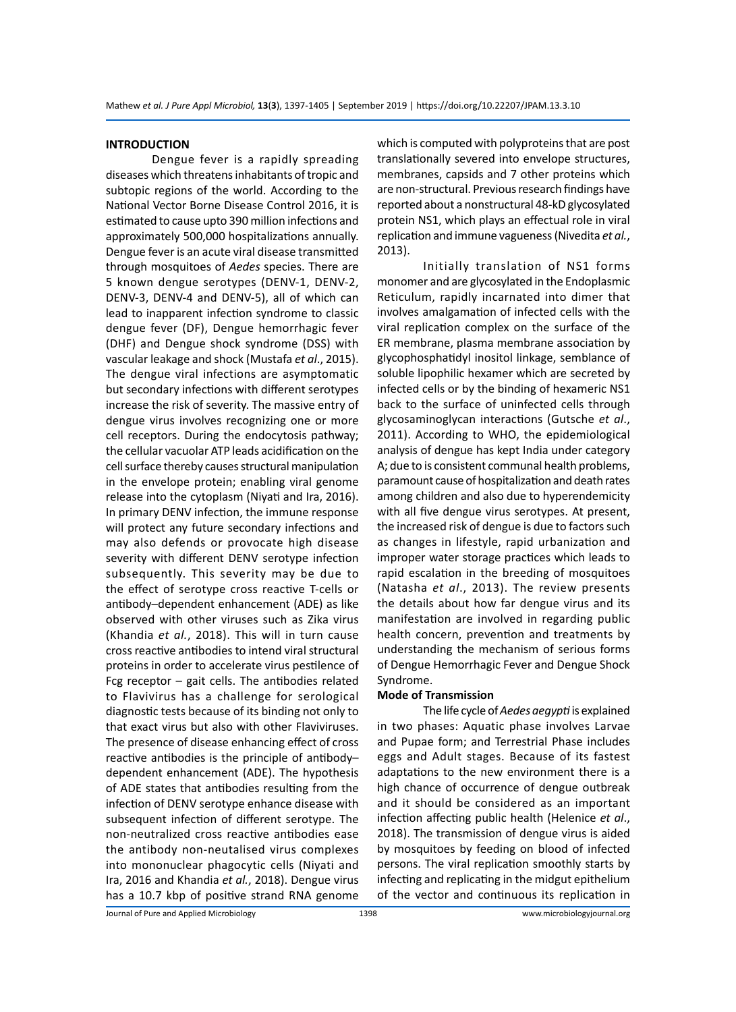#### **INTRODUCTION**

Dengue fever is a rapidly spreading diseases which threatens inhabitants of tropic and subtopic regions of the world. According to the National Vector Borne Disease Control 2016, it is estimated to cause upto 390 million infections and approximately 500,000 hospitalizations annually. Dengue fever is an acute viral disease transmitted through mosquitoes of *Aedes* species. There are 5 known dengue serotypes (DENV-1, DENV-2, DENV-3, DENV-4 and DENV-5), all of which can lead to inapparent infection syndrome to classic dengue fever (DF), Dengue hemorrhagic fever (DHF) and Dengue shock syndrome (DSS) with vascular leakage and shock (Mustafa *et al*., 2015). The dengue viral infections are asymptomatic but secondary infections with different serotypes increase the risk of severity. The massive entry of dengue virus involves recognizing one or more cell receptors. During the endocytosis pathway; the cellular vacuolar ATP leads acidification on the cell surface thereby causes structural manipulation in the envelope protein; enabling viral genome release into the cytoplasm (Niyati and Ira, 2016). In primary DENV infection, the immune response will protect any future secondary infections and may also defends or provocate high disease severity with different DENV serotype infection subsequently. This severity may be due to the effect of serotype cross reactive T-cells or antibody–dependent enhancement (ADE) as like observed with other viruses such as Zika virus (Khandia *et al.*, 2018). This will in turn cause cross reactive antibodies to intend viral structural proteins in order to accelerate virus pestilence of Fcg receptor – gait cells. The antibodies related to Flavivirus has a challenge for serological diagnostic tests because of its binding not only to that exact virus but also with other Flaviviruses. The presence of disease enhancing effect of cross reactive antibodies is the principle of antibody– dependent enhancement (ADE). The hypothesis of ADE states that antibodies resulting from the infection of DENV serotype enhance disease with subsequent infection of different serotype. The non-neutralized cross reactive antibodies ease the antibody non-neutalised virus complexes into mononuclear phagocytic cells (Niyati and Ira, 2016 and Khandia *et al.*, 2018). Dengue virus has a 10.7 kbp of positive strand RNA genome which is computed with polyproteins that are post translationally severed into envelope structures, membranes, capsids and 7 other proteins which are non-structural. Previous research findings have reported about a nonstructural 48-kD glycosylated protein NS1, which plays an effectual role in viral replication and immune vagueness (Nivedita *et al.*, 2013).

Initially translation of NS1 forms monomer and are glycosylated in the Endoplasmic Reticulum, rapidly incarnated into dimer that involves amalgamation of infected cells with the viral replication complex on the surface of the ER membrane, plasma membrane association by glycophosphatidyl inositol linkage, semblance of soluble lipophilic hexamer which are secreted by infected cells or by the binding of hexameric NS1 back to the surface of uninfected cells through glycosaminoglycan interactions (Gutsche *et al*., 2011). According to WHO, the epidemiological analysis of dengue has kept India under category A; due to is consistent communal health problems, paramount cause of hospitalization and death rates among children and also due to hyperendemicity with all five dengue virus serotypes. At present, the increased risk of dengue is due to factors such as changes in lifestyle, rapid urbanization and improper water storage practices which leads to rapid escalation in the breeding of mosquitoes (Natasha *et al*., 2013). The review presents the details about how far dengue virus and its manifestation are involved in regarding public health concern, prevention and treatments by understanding the mechanism of serious forms of Dengue Hemorrhagic Fever and Dengue Shock Syndrome.

#### **Mode of Transmission**

The life cycle of *Aedes aegypti* is explained in two phases: Aquatic phase involves Larvae and Pupae form; and Terrestrial Phase includes eggs and Adult stages. Because of its fastest adaptations to the new environment there is a high chance of occurrence of dengue outbreak and it should be considered as an important infection affecting public health (Helenice *et al*., 2018). The transmission of dengue virus is aided by mosquitoes by feeding on blood of infected persons. The viral replication smoothly starts by infecting and replicating in the midgut epithelium of the vector and continuous its replication in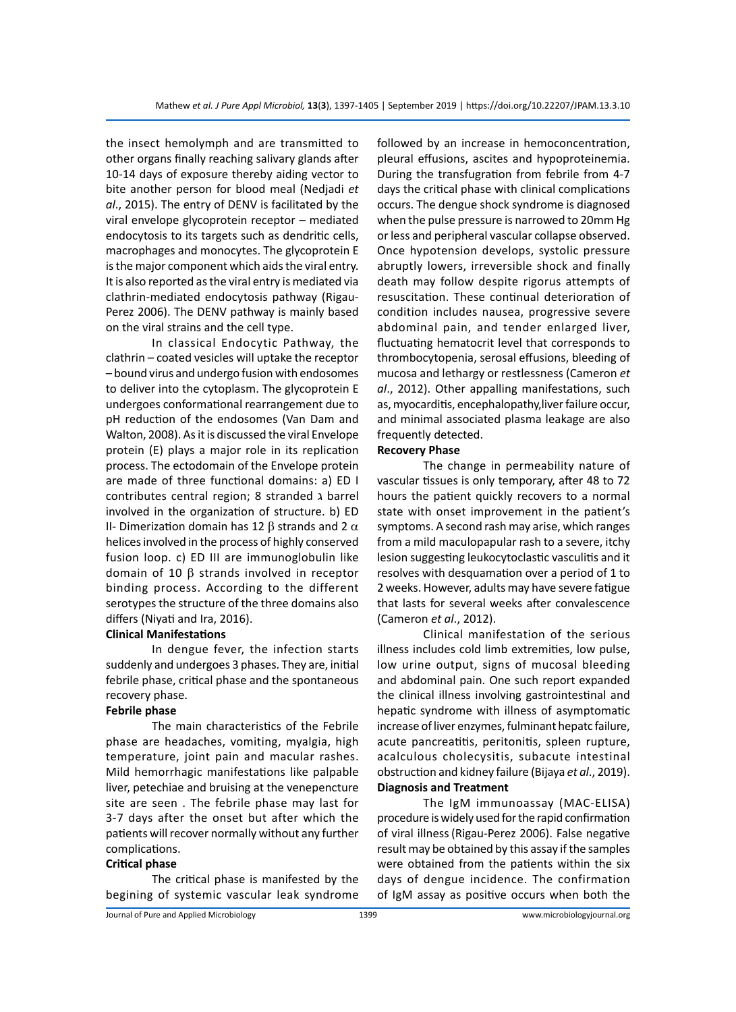the insect hemolymph and are transmitted to other organs finally reaching salivary glands after 10-14 days of exposure thereby aiding vector to bite another person for blood meal (Nedjadi *et al*., 2015). The entry of DENV is facilitated by the viral envelope glycoprotein receptor – mediated endocytosis to its targets such as dendritic cells, macrophages and monocytes. The glycoprotein E is the major component which aids the viral entry. It is also reported as the viral entry is mediated via clathrin-mediated endocytosis pathway (Rigau-Perez 2006). The DENV pathway is mainly based on the viral strains and the cell type.

In classical Endocytic Pathway, the clathrin – coated vesicles will uptake the receptor – bound virus and undergo fusion with endosomes to deliver into the cytoplasm. The glycoprotein E undergoes conformational rearrangement due to pH reduction of the endosomes (Van Dam and Walton, 2008). As it is discussed the viral Envelope protein (E) plays a major role in its replication process. The ectodomain of the Envelope protein are made of three functional domains: a) ED I contributes central region; 8 stranded ג barrel involved in the organization of structure. b) ED II- Dimerization domain has 12 β strands and 2  $\alpha$ helices involved in the process of highly conserved fusion loop. c) ED III are immunoglobulin like domain of 10 β strands involved in receptor binding process. According to the different serotypes the structure of the three domains also differs (Niyati and Ira, 2016).

#### **Clinical Manifestations**

In dengue fever, the infection starts suddenly and undergoes 3 phases. They are, initial febrile phase, critical phase and the spontaneous recovery phase.

#### **Febrile phase**

The main characteristics of the Febrile phase are headaches, vomiting, myalgia, high temperature, joint pain and macular rashes. Mild hemorrhagic manifestations like palpable liver, petechiae and bruising at the venepencture site are seen . The febrile phase may last for 3-7 days after the onset but after which the patients will recover normally without any further complications.

### **Critical phase**

The critical phase is manifested by the begining of systemic vascular leak syndrome followed by an increase in hemoconcentration, pleural effusions, ascites and hypoproteinemia. During the transfugration from febrile from 4-7 days the critical phase with clinical complications occurs. The dengue shock syndrome is diagnosed when the pulse pressure is narrowed to 20mm Hg or less and peripheral vascular collapse observed. Once hypotension develops, systolic pressure abruptly lowers, irreversible shock and finally death may follow despite rigorus attempts of resuscitation. These continual deterioration of condition includes nausea, progressive severe abdominal pain, and tender enlarged liver, fluctuating hematocrit level that corresponds to thrombocytopenia, serosal effusions, bleeding of mucosa and lethargy or restlessness (Cameron *et al*., 2012). Other appalling manifestations, such as, myocarditis, encephalopathy,liver failure occur, and minimal associated plasma leakage are also frequently detected.

### **Recovery Phase**

The change in permeability nature of vascular tissues is only temporary, after 48 to 72 hours the patient quickly recovers to a normal state with onset improvement in the patient's symptoms. A second rash may arise, which ranges from a mild maculopapular rash to a severe, itchy lesion suggesting leukocytoclastic vasculitis and it resolves with desquamation over a period of 1 to 2 weeks. However, adults may have severe fatigue that lasts for several weeks after convalescence (Cameron *et al*., 2012).

Clinical manifestation of the serious illness includes cold limb extremities, low pulse, low urine output, signs of mucosal bleeding and abdominal pain. One such report expanded the clinical illness involving gastrointestinal and hepatic syndrome with illness of asymptomatic increase of liver enzymes, fulminant hepatc failure, acute pancreatitis, peritonitis, spleen rupture, acalculous cholecysitis, subacute intestinal obstruction and kidney failure (Bijaya *et al*., 2019). **Diagnosis and Treatment**

The IgM immunoassay (MAC-ELISA) procedure is widely used for the rapid confirmation of viral illness(Rigau-Perez 2006). False negative result may be obtained by this assay if the samples were obtained from the patients within the six days of dengue incidence. The confirmation of IgM assay as positive occurs when both the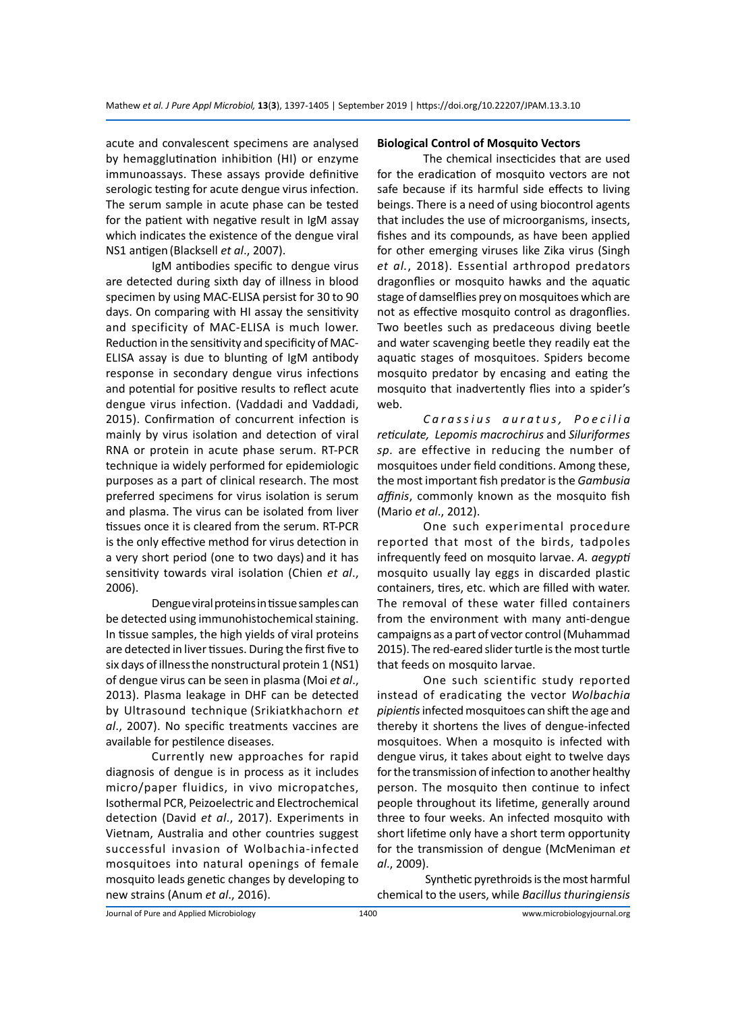acute and convalescent specimens are analysed by hemagglutination inhibition (HI) or enzyme immunoassays. These assays provide definitive serologic testing for acute dengue virus infection. The serum sample in acute phase can be tested for the patient with negative result in IgM assay which indicates the existence of the dengue viral NS1 antigen (Blacksell *et al*., 2007).

IgM antibodies specific to dengue virus are detected during sixth day of illness in blood specimen by using MAC-ELISA persist for 30 to 90 days. On comparing with HI assay the sensitivity and specificity of MAC-ELISA is much lower. Reduction in the sensitivity and specificity of MAC-ELISA assay is due to blunting of IgM antibody response in secondary dengue virus infections and potential for positive results to reflect acute dengue virus infection. (Vaddadi and Vaddadi, 2015). Confirmation of concurrent infection is mainly by virus isolation and detection of viral RNA or protein in acute phase serum. RT-PCR technique ia widely performed for epidemiologic purposes as a part of clinical research. The most preferred specimens for virus isolation is serum and plasma. The virus can be isolated from liver tissues once it is cleared from the serum. RT-PCR is the only effective method for virus detection in a very short period (one to two days) and it has sensitivity towards viral isolation (Chien *et al*., 2006).

Dengue viral proteins in tissue samples can be detected using immunohistochemical staining. In tissue samples, the high yields of viral proteins are detected in liver tissues. During the first five to six days of illnessthe nonstructural protein 1 (NS1) of dengue virus can be seen in plasma (Moi *et al*., 2013). Plasma leakage in DHF can be detected by Ultrasound technique (Srikiatkhachorn *et al*., 2007). No specific treatments vaccines are available for pestilence diseases.

Currently new approaches for rapid diagnosis of dengue is in process as it includes micro/paper fluidics, in vivo micropatches, Isothermal PCR, Peizoelectric and Electrochemical detection (David *et al*., 2017). Experiments in Vietnam, Australia and other countries suggest successful invasion of Wolbachia-infected mosquitoes into natural openings of female mosquito leads genetic changes by developing to new strains (Anum *et al*., 2016).

#### **Biological Control of Mosquito Vectors**

The chemical insecticides that are used for the eradication of mosquito vectors are not safe because if its harmful side effects to living beings. There is a need of using biocontrol agents that includes the use of microorganisms, insects, fishes and its compounds, as have been applied for other emerging viruses like Zika virus (Singh *et al.*, 2018). Essential arthropod predators dragonflies or mosquito hawks and the aquatic stage of damselflies prey on mosquitoes which are not as effective mosquito control as dragonflies. Two beetles such as predaceous diving beetle and water scavenging beetle they readily eat the aquatic stages of mosquitoes. Spiders become mosquito predator by encasing and eating the mosquito that inadvertently flies into a spider's web.

*C a r a s s i u s a u r a t u s , P o e c i l i a reticulate, Lepomis macrochirus* and *Siluriformes sp.* are effective in reducing the number of mosquitoes under field conditions. Among these, the most important fish predator is the *Gambusia affinis*, commonly known as the mosquito fish (Mario *et al*., 2012).

One such experimental procedure reported that most of the birds, tadpoles infrequently feed on mosquito larvae. *A. aegypti* mosquito usually lay eggs in discarded plastic containers, tires, etc. which are filled with water. The removal of these water filled containers from the environment with many anti-dengue campaigns as a part of vector control (Muhammad 2015). The red-eared slider turtle is the most turtle that feeds on mosquito larvae.

One such scientific study reported instead of eradicating the vector *Wolbachia pipientis* infected mosquitoes can shift the age and thereby it shortens the lives of dengue-infected mosquitoes. When a mosquito is infected with dengue virus, it takes about eight to twelve days for the transmission of infection to another healthy person. The mosquito then continue to infect people throughout its lifetime, generally around three to four weeks. An infected mosquito with short lifetime only have a short term opportunity for the transmission of dengue (McMeniman *et al*., 2009).

 Synthetic pyrethroids is the most harmful chemical to the users, while *Bacillus thuringiensis*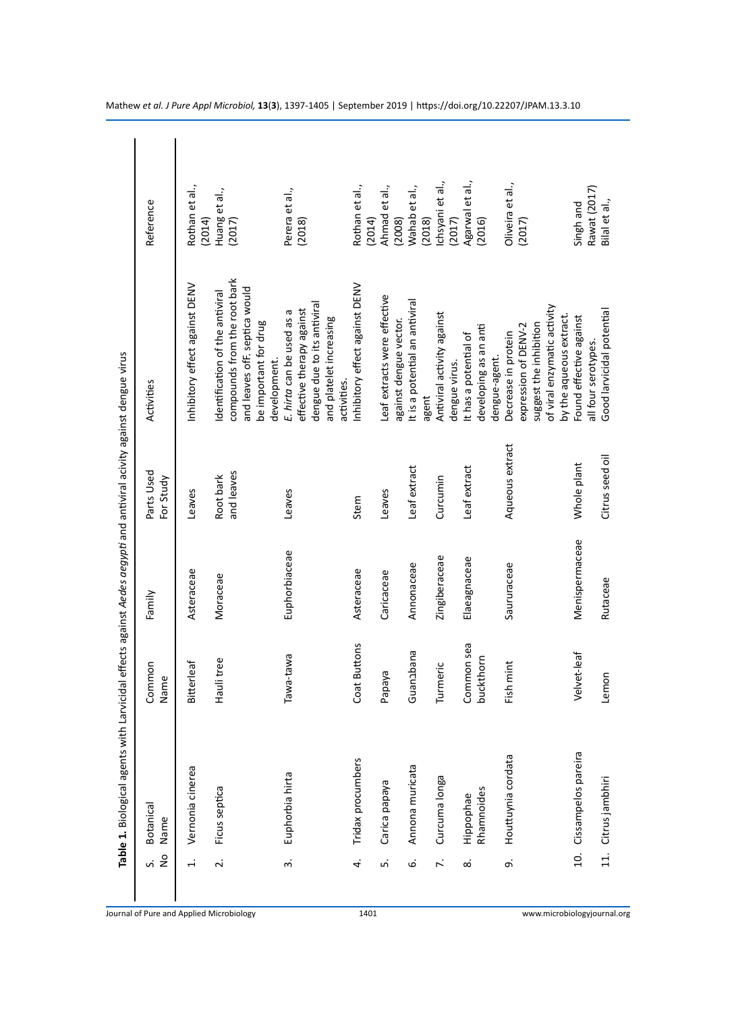| $\frac{1}{2}$<br>s. | Botanical<br>Name            | Common<br>Name          | Family         | Parts Used<br>For Study | Activities                                                                                                                               | Reference                  |
|---------------------|------------------------------|-------------------------|----------------|-------------------------|------------------------------------------------------------------------------------------------------------------------------------------|----------------------------|
| $\dot{+}$           | Vernonia cinerea             | Bitterleaf              | Asteraceae     | Leaves                  | Inhibitory effect against DENV                                                                                                           | Rothan et al.,<br>(2014)   |
| $\overline{a}$      | Ficus septica                | Haulitree               | Moraceae       | and leaves<br>Root bark | compounds from the root bark<br>and leaves ofF. septica would<br>dentification of the antiviral<br>be important for drug<br>development. | Huang et al.,<br>(2017)    |
| $\dot{\mathsf{c}}$  | Euphorbia hirta              | Tawa-tawa               | Euphorbiaceae  | Leaves                  | dengue due to its antiviral<br>effective therapy against<br>E. hirta can be used as a<br>and platelet increasing<br>activities.          | Perera et al.,<br>(2018)   |
| 4                   | Tridax procumbers            | Coat Buttons            | Asteraceae     | Stem                    | Inhibitory effect against DENV                                                                                                           | Rothan et al.,<br>(2014)   |
| <u>ທ່</u>           | Carica papaya                | Papaya                  | Caricaceae     | Leaves                  | Leaf extracts were effective<br>against dengue vector.                                                                                   | Ahmad et al.,<br>(2008)    |
| نی                  | Annona muricata              | Guanabana               | Annonaceae     | Leaf extract            | It is a potential an antiviral<br>agent                                                                                                  | Wahab et al.,<br>(2018)    |
| $\ddot{\sim}$       | Curcuma longa                | Turmeric                | Zingiberaceae  | Curcumin                | Antiviral activity against<br>dengue virus.                                                                                              | chsyani et al.,<br>(2017)  |
| $\dot{\infty}$      | Rhamnoides<br>Hippophae      | Common sea<br>buckthorn | Elaeagnaceae   | Leaf extract            | developing as an anti<br>It has a potential of<br>dengue-agent.                                                                          | Agarwal et al.,<br>(2016)  |
| o,                  | Houttuynia cordata           | Fish mint               | Saururaceae    | Aqueous extract         | of viral enzymatic activity<br>by the aqueous extract.<br>suggest the inhibition<br>expression of DENV-2<br>Decrease in protein          | Oliveira et al.,<br>(2017) |
| $\overline{a}$      | Cissampelos pareira          | Velvet-leaf             | Menispermaceae | Whole plant             | Found effective against<br>all four serotypes.                                                                                           | Rawat (2017)<br>Singh and  |
|                     | Citrus jambhiri<br>$\vec{a}$ | Lemon                   | Rutaceae       | Citrus seed oil         | Good larvicidal potential                                                                                                                | Bilal et al.,              |

Mathew *et al. J Pure Appl Microbiol,* **13** ( **3**), 1397-1405 | September 2019 | https://doi.org/10.22207/JPAM.13.3.10

1401 www.microbiologyjournal.org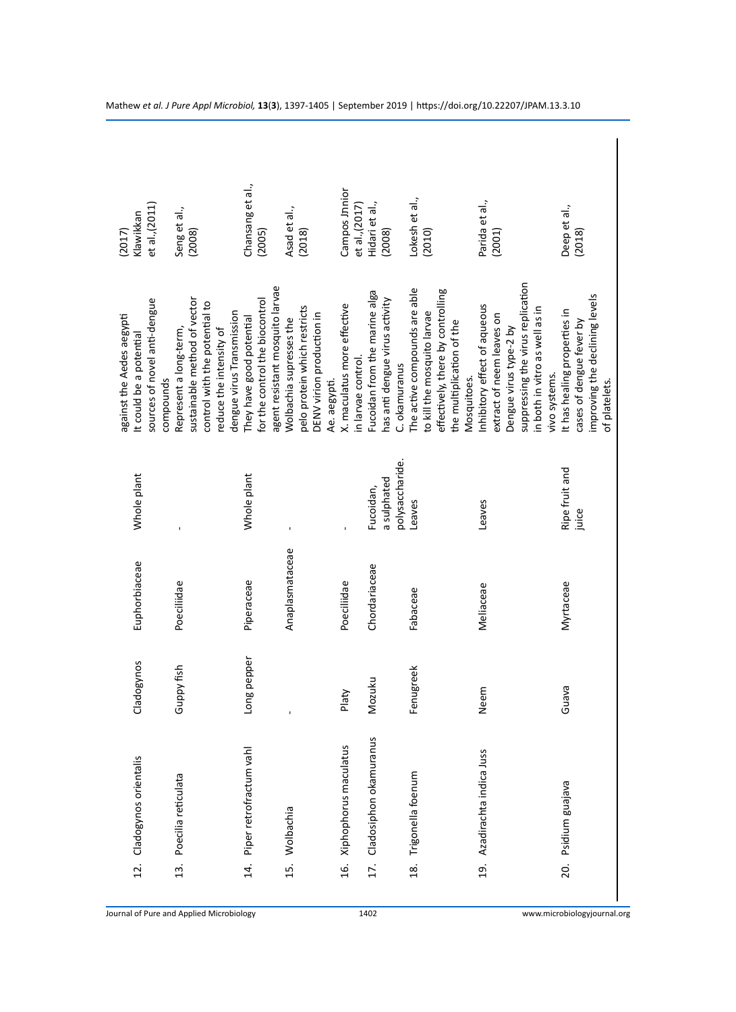| et al., (2011)<br>Klawikkan<br>(2017)                                                | Seng et al.,<br>(2008)                                                                                                                                       | Chansang et al.,<br>(2005)                                                                    | Asad et al.,<br>(2018)                                                                               | Campos Jnnior<br>et al., (2017)                   | Hidari et al.,<br>(2008)                                                         | Lokesh et al.,<br>(2010)                                                                                                                      | Parida et al.,<br>(2001)                                                                                                                                                    | Deep et al.,<br>(2018)                                                                                      |
|--------------------------------------------------------------------------------------|--------------------------------------------------------------------------------------------------------------------------------------------------------------|-----------------------------------------------------------------------------------------------|------------------------------------------------------------------------------------------------------|---------------------------------------------------|----------------------------------------------------------------------------------|-----------------------------------------------------------------------------------------------------------------------------------------------|-----------------------------------------------------------------------------------------------------------------------------------------------------------------------------|-------------------------------------------------------------------------------------------------------------|
| sources of novel anti-dengue<br>against the Aedes aegypti<br>It could be a potential | sustainable method of vector<br>control with the potential to<br>dengue virus Transmission<br>Represent a long-term,<br>reduce the intensity of<br>compounds | agent resistant mosquito larvae<br>for the control the biocontrol<br>They have good potential | pelo protein which restricts<br>DENV virion production in<br>Wolbachia supresses the<br>Ae. aegypti. | X. maculatus more effective<br>in larvae control. | Fucoidan from the marine alga<br>has anti dengue virus activity<br>C. okamuranus | The active compounds are able<br>effectively, there by controlling<br>to kill the mosquito larvae<br>the multiplication of the<br>Mosquitoes. | suppressing the virus replication<br>Inhibitory effect of aqueous<br>in both in vitro as well as in<br>extract of neem leaves on<br>Dengue virus type-2 by<br>vivo systems. | improving the declining levels<br>It has healing properties in<br>cases of dengue fever by<br>of platelets. |
| Whole plant                                                                          |                                                                                                                                                              | Whole plant                                                                                   |                                                                                                      |                                                   | polysaccharide.<br>a sulphated<br>Fucoidan,                                      | Leaves                                                                                                                                        | Leaves                                                                                                                                                                      | Ripe fruit and<br>juice                                                                                     |
| Euphorbiaceae                                                                        | Poeciliidae                                                                                                                                                  | Piperaceae                                                                                    | Anaplasmataceae                                                                                      | Poeciliidae                                       | Chordariaceae                                                                    | Fabaceae                                                                                                                                      | Meliaceae                                                                                                                                                                   | Myrtaceae                                                                                                   |
| cladogynos                                                                           | <b>Hah Yddne</b>                                                                                                                                             | ong pepper                                                                                    |                                                                                                      | Platy                                             | Mozuku                                                                           | Fenugreek                                                                                                                                     | Neem                                                                                                                                                                        | Guava                                                                                                       |
| Cladogynos orientalis                                                                | Poecilia reticulata                                                                                                                                          | Piper retrofractum vahl                                                                       | Wolbachia                                                                                            | Xiphophorus maculatus                             | Cladosiphon okamuranus                                                           | Trigonella foenum                                                                                                                             | Azadirachta indica Juss                                                                                                                                                     | Psidium guajava                                                                                             |
| 12.                                                                                  | 13.                                                                                                                                                          | 14.                                                                                           | 15.                                                                                                  | 16.                                               | 17.                                                                              | 18.                                                                                                                                           | 19.                                                                                                                                                                         | 20.                                                                                                         |
|                                                                                      | Journal of Pure and Applied Microbiology                                                                                                                     |                                                                                               |                                                                                                      |                                                   | 1402                                                                             |                                                                                                                                               |                                                                                                                                                                             | www.microbiologyjournal.c                                                                                   |

Mathew *et al. J Pure Appl Microbiol,* **13** ( **3**), 1397-1405 | September 2019 | https://doi.org/10.22207/JPAM.13.3.10

1402 www.microbiologyjournal.org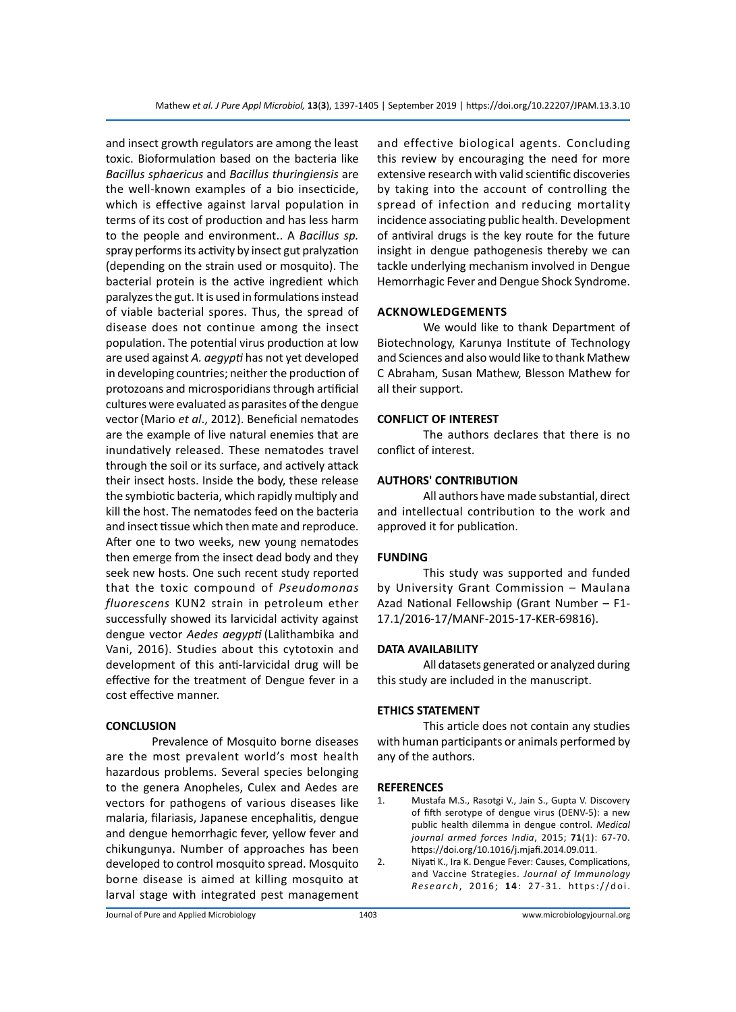and insect growth regulators are among the least toxic. Bioformulation based on the bacteria like *Bacillus sphaericus* and *Bacillus thuringiensis* are the well-known examples of a bio insecticide, which is effective against larval population in terms of its cost of production and has less harm to the people and environment.. A *Bacillus sp.*  spray performs its activity by insect gut pralyzation (depending on the strain used or mosquito). The bacterial protein is the active ingredient which paralyzes the gut. It is used in formulations instead of viable bacterial spores. Thus, the spread of disease does not continue among the insect population. The potential virus production at low are used against *A. aegypti* has not yet developed in developing countries; neither the production of protozoans and microsporidians through artificial cultures were evaluated as parasites of the dengue vector(Mario *et al*., 2012). Beneficial nematodes are the example of live natural enemies that are inundatively released. These nematodes travel through the soil or its surface, and actively attack their insect hosts. Inside the body, these release the symbiotic bacteria, which rapidly multiply and kill the host. The nematodes feed on the bacteria and insect tissue which then mate and reproduce. After one to two weeks, new young nematodes then emerge from the insect dead body and they seek new hosts. One such recent study reported that the toxic compound of *Pseudomonas fluorescens* KUN2 strain in petroleum ether successfully showed its larvicidal activity against dengue vector *Aedes aegypti* (Lalithambika and Vani, 2016). Studies about this cytotoxin and development of this anti-larvicidal drug will be effective for the treatment of Dengue fever in a cost effective manner.

#### **CONCLUSION**

Prevalence of Mosquito borne diseases are the most prevalent world's most health hazardous problems. Several species belonging to the genera Anopheles, Culex and Aedes are vectors for pathogens of various diseases like malaria, filariasis, Japanese encephalitis, dengue and dengue hemorrhagic fever, yellow fever and chikungunya. Number of approaches has been developed to control mosquito spread. Mosquito borne disease is aimed at killing mosquito at larval stage with integrated pest management and effective biological agents. Concluding this review by encouraging the need for more extensive research with valid scientific discoveries by taking into the account of controlling the spread of infection and reducing mortality incidence associating public health. Development of antiviral drugs is the key route for the future insight in dengue pathogenesis thereby we can tackle underlying mechanism involved in Dengue Hemorrhagic Fever and Dengue Shock Syndrome.

#### **Acknowledgements**

We would like to thank Department of Biotechnology, Karunya Institute of Technology and Sciences and also would like to thank Mathew C Abraham, Susan Mathew, Blesson Mathew for all their support.

#### **CONFLICT OF INTEREST**

The authors declares that there is no conflict of interest.

#### **AUTHORS' CONTRIBUTION**

All authors have made substantial, direct and intellectual contribution to the work and approved it for publication.

#### **FUNDING**

This study was supported and funded by University Grant Commission – Maulana Azad National Fellowship (Grant Number – F1- 17.1/2016-17/MANF-2015-17-KER-69816).

#### **DATA AVAILABILITY**

All datasets generated or analyzed during this study are included in the manuscript.

#### **ETHICS STATEMENT**

This article does not contain any studies with human participants or animals performed by any of the authors.

#### **REFERENCES**

- 1. Mustafa M.S., Rasotgi V., Jain S., Gupta V. Discovery of fifth serotype of dengue virus (DENV-5): a new public health dilemma in dengue control. *Medical journal armed forces India*, 2015; **71**(1): 67-70. https://doi.org/10.1016/j.mjafi.2014.09.011.
- 2. Niyati K., Ira K. Dengue Fever: Causes, Complications, and Vaccine Strategies. *Journal of Immunology Research*, 2016; **1 4**: 27-31. https://doi.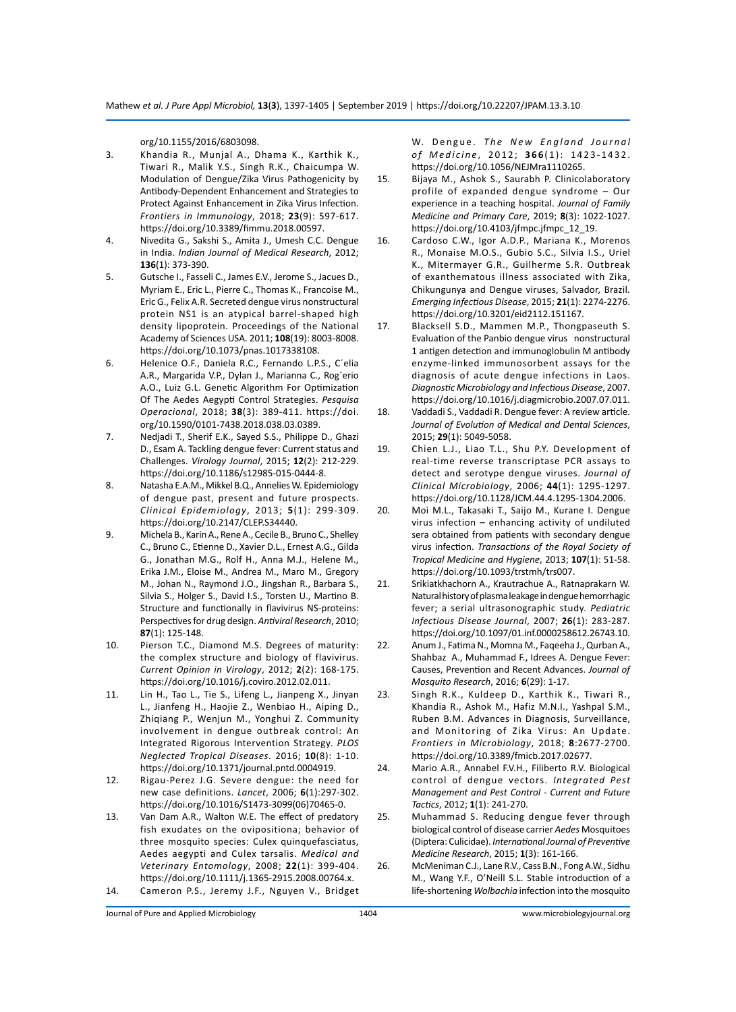org/10.1155/2016/6803098.

- 3. Khandia R., Munjal A., Dhama K., Karthik K., Tiwari R., Malik Y.S., Singh R.K., Chaicumpa W. Modulation of Dengue/Zika Virus Pathogenicity by Antibody-Dependent Enhancement and Strategies to Protect Against Enhancement in Zika Virus Infection. *Frontiers in Immunology*, 2018; **23**(9): 597-617. https://doi.org/10.3389/fimmu.2018.00597.
- 4. Nivedita G., Sakshi S., Amita J., Umesh C.C. Dengue in India. *Indian Journal of Medical Research*, 2012; **136**(1): 373-390.
- 5. Gutsche I., Fasseli C., James E.V., Jerome S., Jacues D., Myriam E., Eric L., Pierre C., Thomas K., Francoise M., Eric G., Felix A.R. Secreted dengue virus nonstructural protein NS1 is an atypical barrel-shaped high density lipoprotein. Proceedings of the National Academy of Sciences USA. 2011; **108**(19): 8003-8008. https://doi.org/10.1073/pnas.1017338108.
- 6. Helenice O.F., Daniela R.C., Fernando L.P.S., C´elia A.R., Margarida V.P., Dylan J., Marianna C., Rog´erio A.O., Luiz G.L. Genetic Algorithm For Optimization Of The Aedes Aegypti Control Strategies. *Pesquisa Operacional*, 2018; **38**(3): 389-411. https://doi. org/10.1590/0101-7438.2018.038.03.0389.
- 7. Nedjadi T., Sherif E.K., Sayed S.S., Philippe D., Ghazi D., Esam A. Tackling dengue fever: Current status and Challenges. *Virology Journal*, 2015; **12**(2): 212-229. https://doi.org/10.1186/s12985-015-0444-8.
- 8. Natasha E.A.M., Mikkel B.Q., Annelies W. Epidemiology of dengue past, present and future prospects. *Clinical Epidemiology*, 2013; **5**(1): 299-309. https://doi.org/10.2147/CLEP.S34440.
- 9. Michela B., Karin A., Rene A., Cecile B., Bruno C., Shelley C., Bruno C., Etienne D., Xavier D.L., Ernest A.G., Gilda G., Jonathan M.G., Rolf H., Anna M.J., Helene M., Erika J.M., Eloise M., Andrea M., Maro M., Gregory M., Johan N., Raymond J.O., Jingshan R., Barbara S., Silvia S., Holger S., David I.S., Torsten U., Martino B. Structure and functionally in flavivirus NS-proteins: Perspectives for drug design. *Antiviral Research*, 2010; **87**(1): 125-148.
- 10. Pierson T.C., Diamond M.S. Degrees of maturity: the complex structure and biology of flavivirus. *Current Opinion in Virology*, 2012; **2**(2): 168-175. https://doi.org/10.1016/j.coviro.2012.02.011.
- 11. Lin H., Tao L., Tie S., Lifeng L., Jianpeng X., Jinyan L., Jianfeng H., Haojie Z., Wenbiao H., Aiping D., Zhiqiang P., Wenjun M., Yonghui Z. Community involvement in dengue outbreak control: An Integrated Rigorous Intervention Strategy. *PLOS Neglected Tropical Diseases*. 2016; **10**(8): 1-10. https://doi.org/10.1371/journal.pntd.0004919.
- 12. Rigau-Perez J.G. Severe dengue: the need for new case definitions. *Lancet*, 2006; **6**(1):297-302. https://doi.org/10.1016/S1473-3099(06)70465-0.
- 13. Van Dam A.R., Walton W.E. The effect of predatory fish exudates on the ovipositiona; behavior of three mosquito species: Culex quinquefasciatus, Aedes aegypti and Culex tarsalis. *Medical and Veterinary Entomology*, 2008; **22**(1): 399-404. https://doi.org/10.1111/j.1365-2915.2008.00764.x. 14. Cameron P.S., Jeremy J.F., Nguyen V., Bridget

W. Dengue. The New England Journal *of Medicine* , 2012; **366** (1): 1423-1432. https://doi.org/10.1056/NEJMra1110265.

- 15. Bijaya M., Ashok S., Saurabh P. Clinicolaboratory profile of expanded dengue syndrome – Our experience in a teaching hospital. *Journal of Family Medicine and Primary Care*, 2019; **8**(3): 1022-1027. https://doi.org/10.4103/jfmpc.jfmpc\_12\_19.
- 16. Cardoso C.W., Igor A.D.P., Mariana K., Morenos R., Monaise M.O.S., Gubio S.C., Silvia I.S., Uriel K., Mitermayer G.R., Guilherme S.R. Outbreak of exanthematous illness associated with Zika, Chikungunya and Dengue viruses, Salvador, Brazil. *Emerging Infectious Disease*, 2015; **21**(1): 2274-2276. https://doi.org/10.3201/eid2112.151167.
- 17. Blacksell S.D., Mammen M.P., Thongpaseuth S. Evaluation of the Panbio dengue virus nonstructural 1 antigen detection and immunoglobulin M antibody enzyme-linked immunosorbent assays for the diagnosis of acute dengue infections in Laos. *Diagnostic Microbiology and Infectious Disease*, 2007. https://doi.org/10.1016/j.diagmicrobio.2007.07.011.
- 18. Vaddadi S., Vaddadi R. Dengue fever: A review article. *Journal of Evolution of Medical and Dental Sciences*, 2015; **29**(1): 5049-5058.
- 19. Chien L.J., Liao T.L., Shu P.Y. Development of real-time reverse transcriptase PCR assays to detect and serotype dengue viruses. *Journal of Clinical Microbiology*, 2006; **44**(1): 1295-1297. https://doi.org/10.1128/JCM.44.4.1295-1304.2006.
- 20. Moi M.L., Takasaki T., Saijo M., Kurane I. Dengue virus infection – enhancing activity of undiluted sera obtained from patients with secondary dengue virus infection. *Transactions of the Royal Society of Tropical Medicine and Hygiene*, 2013; **107**(1): 51-58. https://doi.org/10.1093/trstmh/trs007.
- 21. Srikiatkhachorn A., Krautrachue A., Ratnaprakarn W. Natural history of plasma leakage in dengue hemorrhagic fever; a serial ultrasonographic study. *Pediatric Infectious Disease Journal*, 2007; **26**(1): 283-287. https://doi.org/10.1097/01.inf.0000258612.26743.10.
- 22. Anum J., Fatima N., Momna M., Faqeeha J., Qurban A., Shahbaz A., Muhammad F., Idrees A. Dengue Fever: Causes, Prevention and Recent Advances. *Journal of Mosquito Research*, 2016; **6**(29): 1-17.
- 23. Singh R.K., Kuldeep D., Karthik K., Tiwari R., Khandia R., Ashok M., Hafiz M.N.I., Yashpal S.M., Ruben B.M. Advances in Diagnosis, Surveillance, and Monitoring of Zika Virus: An Update. *Frontiers in Microbiology*, 2018; **8**:2677-2700. https://doi.org/10.3389/fmicb.2017.02677.
- 24. Mario A.R., Annabel F.V.H., Filiberto R.V. Biological control of dengue vectors. *Integrated Pest Management and Pest Control - Current and Future Tactics*, 2012; **1**(1): 241-270.
- 25. Muhammad S. Reducing dengue fever through biological control of disease carrier *Aedes* Mosquitoes (Diptera: Culicidae). *International Journal of Preventive Medicine Research*, 2015; **1**(3): 161-166.
- 26. McMeniman C.J., Lane R.V., Cass B.N., Fong A.W., Sidhu M., Wang Y.F., O'Neill S.L. Stable introduction of a life-shortening *Wolbachia* infection into the mosquito

Journal of Pure and Applied Microbiology